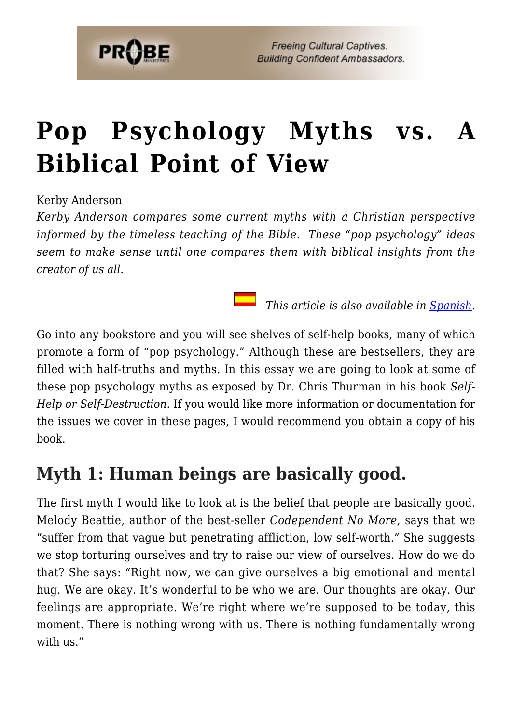

# **[Pop Psychology Myths vs. A](https://probe.org/pop-psychology-myths/) [Biblical Point of View](https://probe.org/pop-psychology-myths/)**

Kerby Anderson

*Kerby Anderson compares some current myths with a Christian perspective informed by the timeless teaching of the Bible. These "pop psychology" ideas seem to make sense until one compares them with biblical insights from the creator of us all.*

 *This article is also available in [Spanish.](https://www.ministeriosprobe.org/docs/mitos.html)*

Go into any bookstore and you will see shelves of self-help books, many of which promote a form of "pop psychology." Although these are bestsellers, they are filled with half-truths and myths. In this essay we are going to look at some of these pop psychology myths as exposed by Dr. Chris Thurman in his book *Self-Help or Self-Destruction*. If you would like more information or documentation for the issues we cover in these pages, I would recommend you obtain a copy of his book.

#### **Myth 1: Human beings are basically good.**

The first myth I would like to look at is the belief that people are basically good. Melody Beattie, author of the best-seller *Codependent No More*, says that we "suffer from that vague but penetrating affliction, low self-worth." She suggests we stop torturing ourselves and try to raise our view of ourselves. How do we do that? She says: "Right now, we can give ourselves a big emotional and mental hug. We are okay. It's wonderful to be who we are. Our thoughts are okay. Our feelings are appropriate. We're right where we're supposed to be today, this moment. There is nothing wrong with us. There is nothing fundamentally wrong with us."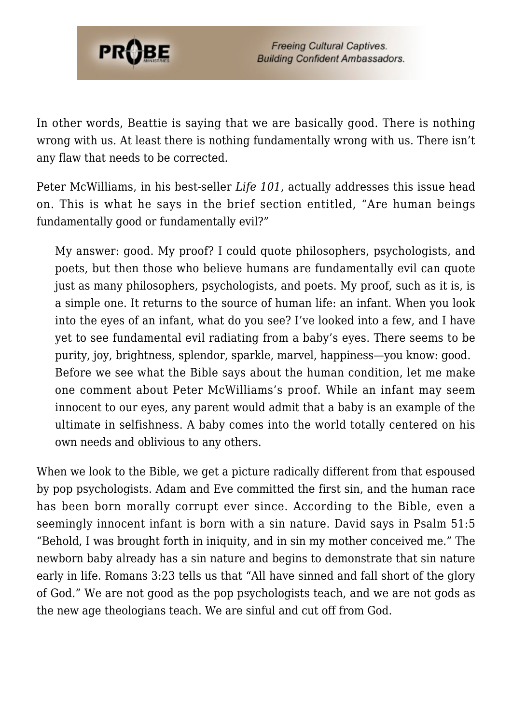

In other words, Beattie is saying that we are basically good. There is nothing wrong with us. At least there is nothing fundamentally wrong with us. There isn't any flaw that needs to be corrected.

Peter McWilliams, in his best-seller *Life 101*, actually addresses this issue head on. This is what he says in the brief section entitled, "Are human beings fundamentally good or fundamentally evil?"

My answer: good. My proof? I could quote philosophers, psychologists, and poets, but then those who believe humans are fundamentally evil can quote just as many philosophers, psychologists, and poets. My proof, such as it is, is a simple one. It returns to the source of human life: an infant. When you look into the eyes of an infant, what do you see? I've looked into a few, and I have yet to see fundamental evil radiating from a baby's eyes. There seems to be purity, joy, brightness, splendor, sparkle, marvel, happiness—you know: good. Before we see what the Bible says about the human condition, let me make one comment about Peter McWilliams's proof. While an infant may seem innocent to our eyes, any parent would admit that a baby is an example of the ultimate in selfishness. A baby comes into the world totally centered on his own needs and oblivious to any others.

When we look to the Bible, we get a picture radically different from that espoused by pop psychologists. Adam and Eve committed the first sin, and the human race has been born morally corrupt ever since. According to the Bible, even a seemingly innocent infant is born with a sin nature. David says in Psalm 51:5 "Behold, I was brought forth in iniquity, and in sin my mother conceived me." The newborn baby already has a sin nature and begins to demonstrate that sin nature early in life. Romans 3:23 tells us that "All have sinned and fall short of the glory of God." We are not good as the pop psychologists teach, and we are not gods as the new age theologians teach. We are sinful and cut off from God.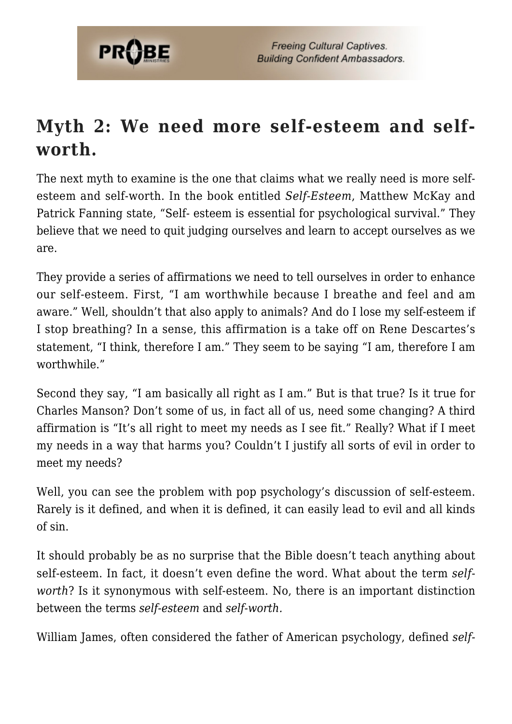

# **Myth 2: We need more self-esteem and selfworth.**

The next myth to examine is the one that claims what we really need is more selfesteem and self-worth. In the book entitled *Self-Esteem*, Matthew McKay and Patrick Fanning state, "Self- esteem is essential for psychological survival." They believe that we need to quit judging ourselves and learn to accept ourselves as we are.

They provide a series of affirmations we need to tell ourselves in order to enhance our self-esteem. First, "I am worthwhile because I breathe and feel and am aware." Well, shouldn't that also apply to animals? And do I lose my self-esteem if I stop breathing? In a sense, this affirmation is a take off on Rene Descartes's statement, "I think, therefore I am." They seem to be saying "I am, therefore I am worthwhile."

Second they say, "I am basically all right as I am." But is that true? Is it true for Charles Manson? Don't some of us, in fact all of us, need some changing? A third affirmation is "It's all right to meet my needs as I see fit." Really? What if I meet my needs in a way that harms you? Couldn't I justify all sorts of evil in order to meet my needs?

Well, you can see the problem with pop psychology's discussion of self-esteem. Rarely is it defined, and when it is defined, it can easily lead to evil and all kinds of sin.

It should probably be as no surprise that the Bible doesn't teach anything about self-esteem. In fact, it doesn't even define the word. What about the term *selfworth*? Is it synonymous with self-esteem. No, there is an important distinction between the terms *self-esteem* and *self-worth.*

William James, often considered the father of American psychology, defined *self-*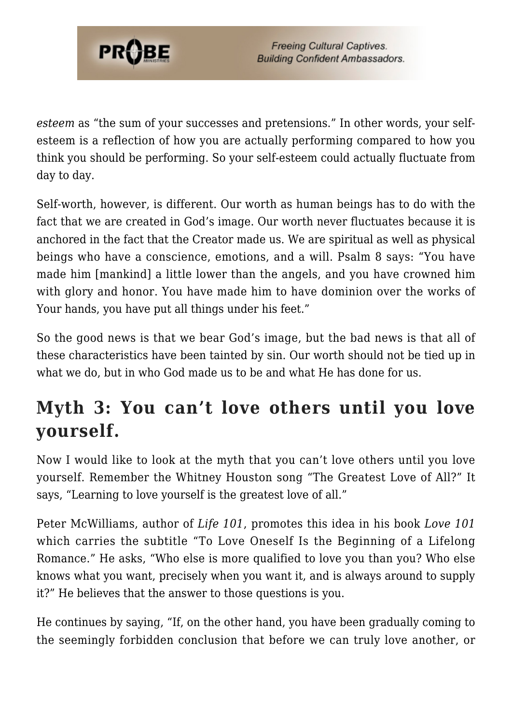

*esteem* as "the sum of your successes and pretensions." In other words, your selfesteem is a reflection of how you are actually performing compared to how you think you should be performing. So your self-esteem could actually fluctuate from day to day.

Self-worth, however, is different. Our worth as human beings has to do with the fact that we are created in God's image. Our worth never fluctuates because it is anchored in the fact that the Creator made us. We are spiritual as well as physical beings who have a conscience, emotions, and a will. Psalm 8 says: "You have made him [mankind] a little lower than the angels, and you have crowned him with glory and honor. You have made him to have dominion over the works of Your hands, you have put all things under his feet."

So the good news is that we bear God's image, but the bad news is that all of these characteristics have been tainted by sin. Our worth should not be tied up in what we do, but in who God made us to be and what He has done for us.

### **Myth 3: You can't love others until you love yourself.**

Now I would like to look at the myth that you can't love others until you love yourself. Remember the Whitney Houston song "The Greatest Love of All?" It says, "Learning to love yourself is the greatest love of all."

Peter McWilliams, author of *Life 101*, promotes this idea in his book *Love 101* which carries the subtitle "To Love Oneself Is the Beginning of a Lifelong Romance." He asks, "Who else is more qualified to love you than you? Who else knows what you want, precisely when you want it, and is always around to supply it?" He believes that the answer to those questions is you.

He continues by saying, "If, on the other hand, you have been gradually coming to the seemingly forbidden conclusion that before we can truly love another, or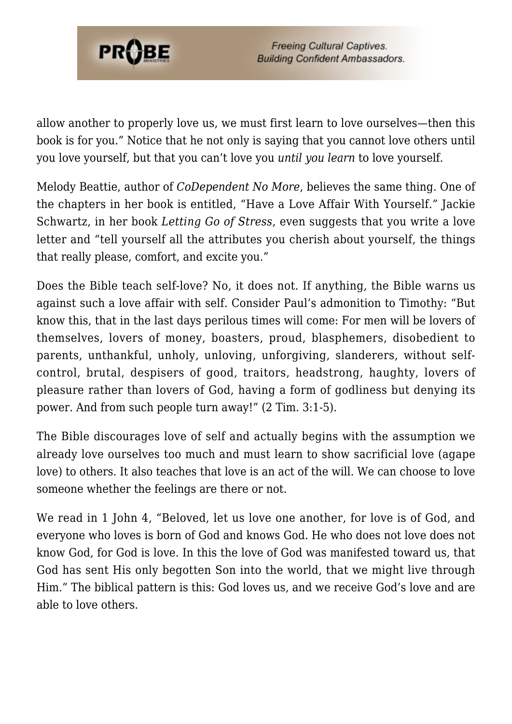

allow another to properly love us, we must first learn to love ourselves—then this book is for you." Notice that he not only is saying that you cannot love others until you love yourself, but that you can't love you *until you learn* to love yourself.

Melody Beattie, author of *CoDependent No More*, believes the same thing. One of the chapters in her book is entitled, "Have a Love Affair With Yourself." Jackie Schwartz, in her book *Letting Go of Stress*, even suggests that you write a love letter and "tell yourself all the attributes you cherish about yourself, the things that really please, comfort, and excite you."

Does the Bible teach self-love? No, it does not. If anything, the Bible warns us against such a love affair with self. Consider Paul's admonition to Timothy: "But know this, that in the last days perilous times will come: For men will be lovers of themselves, lovers of money, boasters, proud, blasphemers, disobedient to parents, unthankful, unholy, unloving, unforgiving, slanderers, without selfcontrol, brutal, despisers of good, traitors, headstrong, haughty, lovers of pleasure rather than lovers of God, having a form of godliness but denying its power. And from such people turn away!" (2 Tim. 3:1-5).

The Bible discourages love of self and actually begins with the assumption we already love ourselves too much and must learn to show sacrificial love (agape love) to others. It also teaches that love is an act of the will. We can choose to love someone whether the feelings are there or not.

We read in 1 John 4, "Beloved, let us love one another, for love is of God, and everyone who loves is born of God and knows God. He who does not love does not know God, for God is love. In this the love of God was manifested toward us, that God has sent His only begotten Son into the world, that we might live through Him." The biblical pattern is this: God loves us, and we receive God's love and are able to love others.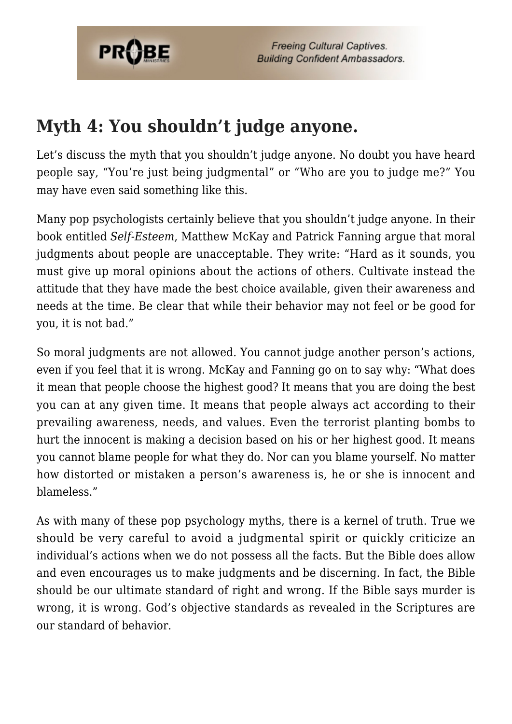

**Freeing Cultural Captives. Building Confident Ambassadors.** 

#### **Myth 4: You shouldn't judge anyone.**

Let's discuss the myth that you shouldn't judge anyone. No doubt you have heard people say, "You're just being judgmental" or "Who are you to judge me?" You may have even said something like this.

Many pop psychologists certainly believe that you shouldn't judge anyone. In their book entitled *Self-Esteem*, Matthew McKay and Patrick Fanning argue that moral judgments about people are unacceptable. They write: "Hard as it sounds, you must give up moral opinions about the actions of others. Cultivate instead the attitude that they have made the best choice available, given their awareness and needs at the time. Be clear that while their behavior may not feel or be good for you, it is not bad."

So moral judgments are not allowed. You cannot judge another person's actions, even if you feel that it is wrong. McKay and Fanning go on to say why: "What does it mean that people choose the highest good? It means that you are doing the best you can at any given time. It means that people always act according to their prevailing awareness, needs, and values. Even the terrorist planting bombs to hurt the innocent is making a decision based on his or her highest good. It means you cannot blame people for what they do. Nor can you blame yourself. No matter how distorted or mistaken a person's awareness is, he or she is innocent and blameless."

As with many of these pop psychology myths, there is a kernel of truth. True we should be very careful to avoid a judgmental spirit or quickly criticize an individual's actions when we do not possess all the facts. But the Bible does allow and even encourages us to make judgments and be discerning. In fact, the Bible should be our ultimate standard of right and wrong. If the Bible says murder is wrong, it is wrong. God's objective standards as revealed in the Scriptures are our standard of behavior.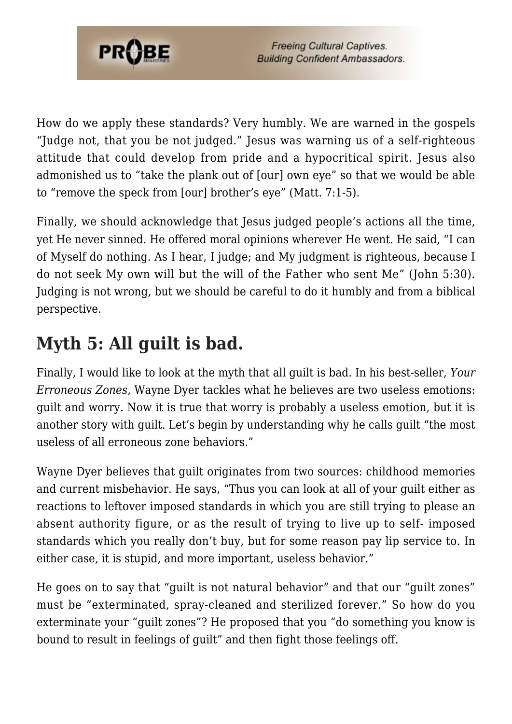

How do we apply these standards? Very humbly. We are warned in the gospels "Judge not, that you be not judged." Jesus was warning us of a self-righteous attitude that could develop from pride and a hypocritical spirit. Jesus also admonished us to "take the plank out of [our] own eye" so that we would be able to "remove the speck from [our] brother's eye" (Matt. 7:1-5).

Finally, we should acknowledge that Jesus judged people's actions all the time, yet He never sinned. He offered moral opinions wherever He went. He said, "I can of Myself do nothing. As I hear, I judge; and My judgment is righteous, because I do not seek My own will but the will of the Father who sent Me" (John 5:30). Judging is not wrong, but we should be careful to do it humbly and from a biblical perspective.

# **Myth 5: All guilt is bad.**

Finally, I would like to look at the myth that all guilt is bad. In his best-seller, *Your Erroneous Zones*, Wayne Dyer tackles what he believes are two useless emotions: guilt and worry. Now it is true that worry is probably a useless emotion, but it is another story with guilt. Let's begin by understanding why he calls guilt "the most useless of all erroneous zone behaviors."

Wayne Dyer believes that guilt originates from two sources: childhood memories and current misbehavior. He says, "Thus you can look at all of your guilt either as reactions to leftover imposed standards in which you are still trying to please an absent authority figure, or as the result of trying to live up to self- imposed standards which you really don't buy, but for some reason pay lip service to. In either case, it is stupid, and more important, useless behavior."

He goes on to say that "guilt is not natural behavior" and that our "guilt zones" must be "exterminated, spray-cleaned and sterilized forever." So how do you exterminate your "guilt zones"? He proposed that you "do something you know is bound to result in feelings of guilt" and then fight those feelings off.